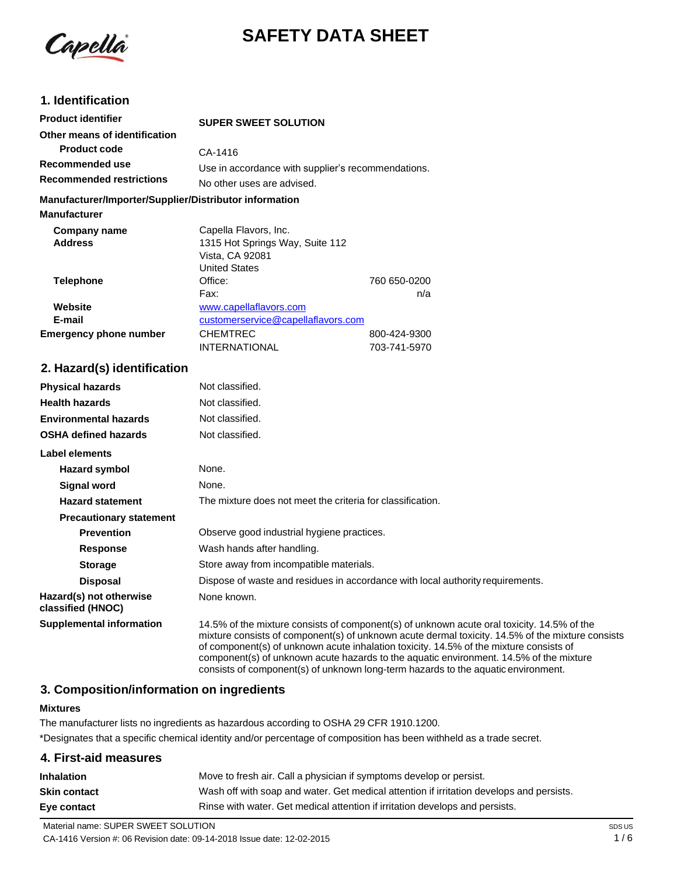

# **SAFETY DATA SHEET**

## **1. Identification**

| <b>Product identifier</b>                              | <b>SUPER SWEET SOLUTION</b>                        |              |
|--------------------------------------------------------|----------------------------------------------------|--------------|
| Other means of identification                          |                                                    |              |
| <b>Product code</b>                                    | CA-1416                                            |              |
| Recommended use                                        | Use in accordance with supplier's recommendations. |              |
| <b>Recommended restrictions</b>                        | No other uses are advised.                         |              |
| Manufacturer/Importer/Supplier/Distributor information |                                                    |              |
| <b>Manufacturer</b>                                    |                                                    |              |
| Company name                                           | Capella Flavors, Inc.                              |              |
| <b>Address</b>                                         | 1315 Hot Springs Way, Suite 112                    |              |
|                                                        | Vista, CA 92081                                    |              |
|                                                        | <b>United States</b>                               |              |
| Telephone                                              | Office:                                            | 760 650-0200 |
|                                                        | Fax:                                               | n/a          |

|                        | ι αλ.                              | $117$ C      |
|------------------------|------------------------------------|--------------|
| Website                | www.capellaflavors.com             |              |
| E-mail                 | customerservice@capellaflavors.com |              |
| Emergency phone number | <b>CHEMTREC</b>                    | 800-424-9300 |
|                        | <b>INTERNATIONAL</b>               | 703-741-5970 |

### **2. Hazard(s) identification**

| <b>Physical hazards</b>                      | Not classified.                                                                                                                                                                                                                                                                                                                                                                                                                                                         |
|----------------------------------------------|-------------------------------------------------------------------------------------------------------------------------------------------------------------------------------------------------------------------------------------------------------------------------------------------------------------------------------------------------------------------------------------------------------------------------------------------------------------------------|
| <b>Health hazards</b>                        | Not classified.                                                                                                                                                                                                                                                                                                                                                                                                                                                         |
| <b>Environmental hazards</b>                 | Not classified.                                                                                                                                                                                                                                                                                                                                                                                                                                                         |
| <b>OSHA defined hazards</b>                  | Not classified.                                                                                                                                                                                                                                                                                                                                                                                                                                                         |
| <b>Label elements</b>                        |                                                                                                                                                                                                                                                                                                                                                                                                                                                                         |
| Hazard symbol                                | None.                                                                                                                                                                                                                                                                                                                                                                                                                                                                   |
| Signal word                                  | None.                                                                                                                                                                                                                                                                                                                                                                                                                                                                   |
| <b>Hazard statement</b>                      | The mixture does not meet the criteria for classification.                                                                                                                                                                                                                                                                                                                                                                                                              |
| <b>Precautionary statement</b>               |                                                                                                                                                                                                                                                                                                                                                                                                                                                                         |
| <b>Prevention</b>                            | Observe good industrial hygiene practices.                                                                                                                                                                                                                                                                                                                                                                                                                              |
| <b>Response</b>                              | Wash hands after handling.                                                                                                                                                                                                                                                                                                                                                                                                                                              |
| <b>Storage</b>                               | Store away from incompatible materials.                                                                                                                                                                                                                                                                                                                                                                                                                                 |
| <b>Disposal</b>                              | Dispose of waste and residues in accordance with local authority requirements.                                                                                                                                                                                                                                                                                                                                                                                          |
| Hazard(s) not otherwise<br>classified (HNOC) | None known.                                                                                                                                                                                                                                                                                                                                                                                                                                                             |
| <b>Supplemental information</b>              | 14.5% of the mixture consists of component(s) of unknown acute oral toxicity. 14.5% of the<br>mixture consists of component(s) of unknown acute dermal toxicity. 14.5% of the mixture consists<br>of component(s) of unknown acute inhalation toxicity. 14.5% of the mixture consists of<br>component(s) of unknown acute hazards to the aquatic environment. 14.5% of the mixture<br>consists of component(s) of unknown long-term hazards to the aquatic environment. |

## **3. Composition/information on ingredients**

#### **Mixtures**

The manufacturer lists no ingredients as hazardous according to OSHA 29 CFR 1910.1200. \*Designates that a specific chemical identity and/or percentage of composition has been withheld as a trade secret.

| 4. First-aid measures |                                                                                          |
|-----------------------|------------------------------------------------------------------------------------------|
| <b>Inhalation</b>     | Move to fresh air. Call a physician if symptoms develop or persist.                      |
| Skin contact          | Wash off with soap and water. Get medical attention if irritation develops and persists. |
| Eye contact           | Rinse with water. Get medical attention if irritation develops and persists.             |
|                       |                                                                                          |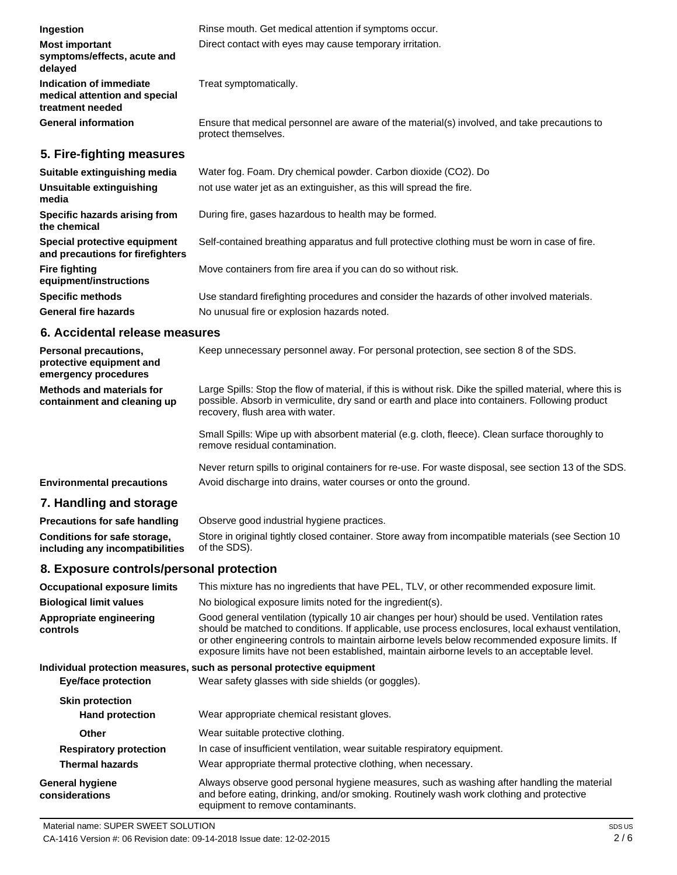| Ingestion                                                                                               | Rinse mouth. Get medical attention if symptoms occur.                                                                                                                                                                                             |
|---------------------------------------------------------------------------------------------------------|---------------------------------------------------------------------------------------------------------------------------------------------------------------------------------------------------------------------------------------------------|
| <b>Most important</b><br>symptoms/effects, acute and<br>delayed                                         | Direct contact with eyes may cause temporary irritation.                                                                                                                                                                                          |
| Indication of immediate<br>medical attention and special<br>treatment needed                            | Treat symptomatically.                                                                                                                                                                                                                            |
| <b>General information</b>                                                                              | Ensure that medical personnel are aware of the material(s) involved, and take precautions to<br>protect themselves.                                                                                                                               |
| 5. Fire-fighting measures                                                                               |                                                                                                                                                                                                                                                   |
| Suitable extinguishing media                                                                            | Water fog. Foam. Dry chemical powder. Carbon dioxide (CO2). Do                                                                                                                                                                                    |
| Unsuitable extinguishing<br>media                                                                       | not use water jet as an extinguisher, as this will spread the fire.                                                                                                                                                                               |
| Specific hazards arising from<br>the chemical                                                           | During fire, gases hazardous to health may be formed.                                                                                                                                                                                             |
| Special protective equipment<br>and precautions for firefighters                                        | Self-contained breathing apparatus and full protective clothing must be worn in case of fire.                                                                                                                                                     |
| <b>Fire fighting</b><br>equipment/instructions                                                          | Move containers from fire area if you can do so without risk.                                                                                                                                                                                     |
| <b>Specific methods</b>                                                                                 | Use standard firefighting procedures and consider the hazards of other involved materials.                                                                                                                                                        |
| <b>General fire hazards</b>                                                                             | No unusual fire or explosion hazards noted.                                                                                                                                                                                                       |
| 6. Accidental release measures                                                                          |                                                                                                                                                                                                                                                   |
| <b>Personal precautions,</b><br>protective equipment and<br>emergency procedures                        | Keep unnecessary personnel away. For personal protection, see section 8 of the SDS.                                                                                                                                                               |
| <b>Methods and materials for</b><br>containment and cleaning up                                         | Large Spills: Stop the flow of material, if this is without risk. Dike the spilled material, where this is<br>possible. Absorb in vermiculite, dry sand or earth and place into containers. Following product<br>recovery, flush area with water. |
|                                                                                                         | Small Spills: Wipe up with absorbent material (e.g. cloth, fleece). Clean surface thoroughly to<br>remove residual contamination.                                                                                                                 |
| <b>Environmental precautions</b>                                                                        | Never return spills to original containers for re-use. For waste disposal, see section 13 of the SDS.<br>Avoid discharge into drains, water courses or onto the ground.                                                                           |
| 7. Handling and storage                                                                                 |                                                                                                                                                                                                                                                   |
|                                                                                                         | Observe good industrial hygiene practices.                                                                                                                                                                                                        |
| <b>Precautions for safe handling</b><br>Conditions for safe storage,<br>including any incompatibilities | Store in original tightly closed container. Store away from incompatible materials (see Section 10<br>of the SDS).                                                                                                                                |
|                                                                                                         |                                                                                                                                                                                                                                                   |

# **8. Exposure controls/personal protection**

| <b>Occupational exposure limits</b>      | This mixture has no ingredients that have PEL, TLV, or other recommended exposure limit.                                                                                                                                                                                                                                                                                                               |
|------------------------------------------|--------------------------------------------------------------------------------------------------------------------------------------------------------------------------------------------------------------------------------------------------------------------------------------------------------------------------------------------------------------------------------------------------------|
| <b>Biological limit values</b>           | No biological exposure limits noted for the ingredient(s).                                                                                                                                                                                                                                                                                                                                             |
| Appropriate engineering<br>controls      | Good general ventilation (typically 10 air changes per hour) should be used. Ventilation rates<br>should be matched to conditions. If applicable, use process enclosures, local exhaust ventilation,<br>or other engineering controls to maintain airborne levels below recommended exposure limits. If<br>exposure limits have not been established, maintain airborne levels to an acceptable level. |
|                                          | Individual protection measures, such as personal protective equipment                                                                                                                                                                                                                                                                                                                                  |
| Eye/face protection                      | Wear safety glasses with side shields (or goggles).                                                                                                                                                                                                                                                                                                                                                    |
| <b>Skin protection</b>                   |                                                                                                                                                                                                                                                                                                                                                                                                        |
| <b>Hand protection</b>                   | Wear appropriate chemical resistant gloves.                                                                                                                                                                                                                                                                                                                                                            |
| <b>Other</b>                             | Wear suitable protective clothing.                                                                                                                                                                                                                                                                                                                                                                     |
| <b>Respiratory protection</b>            | In case of insufficient ventilation, wear suitable respiratory equipment.                                                                                                                                                                                                                                                                                                                              |
| <b>Thermal hazards</b>                   | Wear appropriate thermal protective clothing, when necessary.                                                                                                                                                                                                                                                                                                                                          |
| <b>General hygiene</b><br>considerations | Always observe good personal hygiene measures, such as washing after handling the material<br>and before eating, drinking, and/or smoking. Routinely wash work clothing and protective<br>equipment to remove contaminants.                                                                                                                                                                            |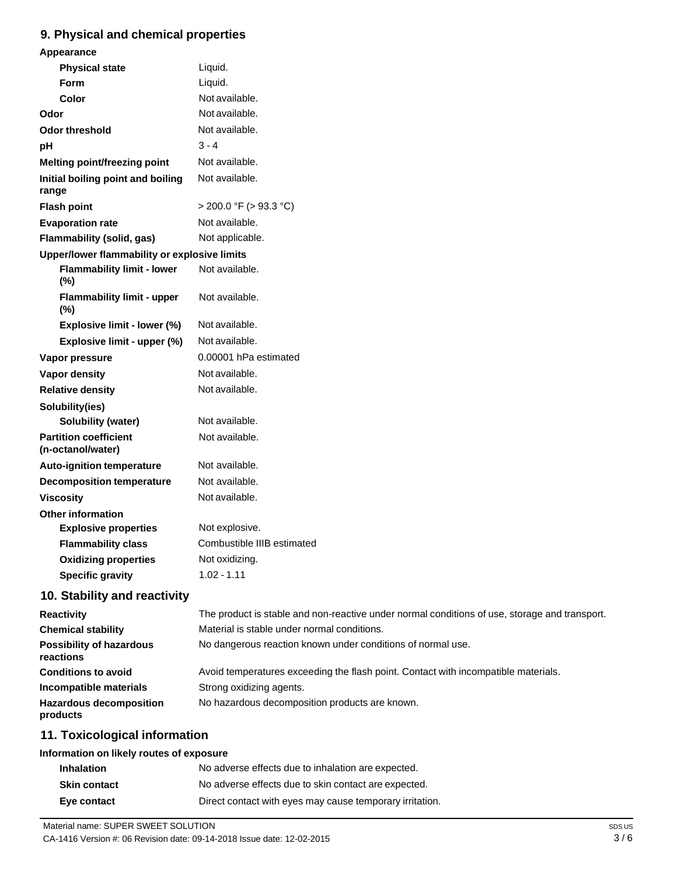### **9. Physical and chemical properties**

| Appearance                                        |                             |
|---------------------------------------------------|-----------------------------|
| <b>Physical state</b>                             | Liquid.                     |
| Form                                              | Liquid.                     |
| Color                                             | Not available.              |
| Odor                                              | Not available.              |
| <b>Odor threshold</b>                             | Not available.              |
| pH                                                | $3 - 4$                     |
| Melting point/freezing point                      | Not available.              |
| Initial boiling point and boiling<br>range        | Not available.              |
| <b>Flash point</b>                                | $>$ 200.0 °F ( $>$ 93.3 °C) |
| <b>Evaporation rate</b>                           | Not available.              |
| Flammability (solid, gas)                         | Not applicable.             |
| Upper/lower flammability or explosive limits      |                             |
| <b>Flammability limit - lower</b><br>(%)          | Not available.              |
| <b>Flammability limit - upper</b><br>(%)          | Not available.              |
| Explosive limit - lower (%)                       | Not available.              |
| Explosive limit - upper (%)                       | Not available.              |
| Vapor pressure                                    | 0.00001 hPa estimated       |
| <b>Vapor density</b>                              | Not available.              |
| <b>Relative density</b>                           | Not available.              |
| Solubility(ies)                                   |                             |
| Solubility (water)                                | Not available.              |
| <b>Partition coefficient</b><br>(n-octanol/water) | Not available.              |
| <b>Auto-ignition temperature</b>                  | Not available.              |
| <b>Decomposition temperature</b>                  | Not available.              |
| <b>Viscosity</b>                                  | Not available.              |
| <b>Other information</b>                          |                             |
| <b>Explosive properties</b>                       | Not explosive.              |
| <b>Flammability class</b>                         | Combustible IIIB estimated  |
| <b>Oxidizing properties</b>                       | Not oxidizing.              |
| <b>Specific gravity</b>                           | $1.02 - 1.11$               |
| 10. Stability and reactivity                      |                             |

| <b>Reactivity</b>                            | The product is stable and non-reactive under normal conditions of use, storage and transport. |
|----------------------------------------------|-----------------------------------------------------------------------------------------------|
| <b>Chemical stability</b>                    | Material is stable under normal conditions.                                                   |
| <b>Possibility of hazardous</b><br>reactions | No dangerous reaction known under conditions of normal use.                                   |
| <b>Conditions to avoid</b>                   | Avoid temperatures exceeding the flash point. Contact with incompatible materials.            |
| Incompatible materials                       | Strong oxidizing agents.                                                                      |
| <b>Hazardous decomposition</b><br>products   | No hazardous decomposition products are known.                                                |

# **11. Toxicological information**

## **Information on likely routes of exposure**

| <b>Inhalation</b>   | No adverse effects due to inhalation are expected.       |
|---------------------|----------------------------------------------------------|
| <b>Skin contact</b> | No adverse effects due to skin contact are expected.     |
| Eve contact         | Direct contact with eyes may cause temporary irritation. |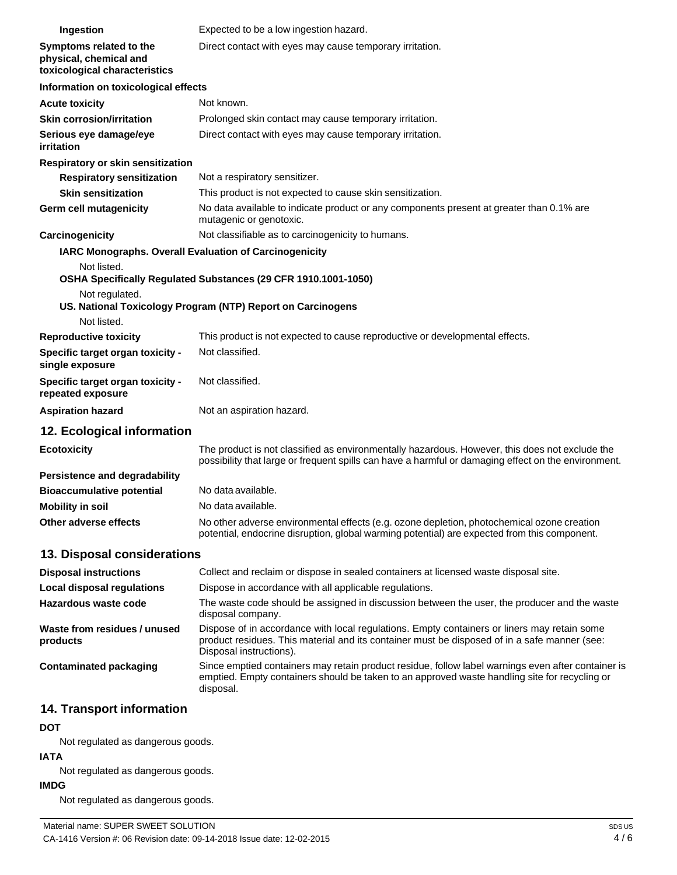| Ingestion                                                                          | Expected to be a low ingestion hazard.                                                                                                                                                                                 |
|------------------------------------------------------------------------------------|------------------------------------------------------------------------------------------------------------------------------------------------------------------------------------------------------------------------|
| Symptoms related to the<br>physical, chemical and<br>toxicological characteristics | Direct contact with eyes may cause temporary irritation.                                                                                                                                                               |
| Information on toxicological effects                                               |                                                                                                                                                                                                                        |
| <b>Acute toxicity</b>                                                              | Not known.                                                                                                                                                                                                             |
| <b>Skin corrosion/irritation</b>                                                   | Prolonged skin contact may cause temporary irritation.                                                                                                                                                                 |
| Serious eye damage/eye<br>irritation                                               | Direct contact with eyes may cause temporary irritation.                                                                                                                                                               |
| Respiratory or skin sensitization                                                  |                                                                                                                                                                                                                        |
| <b>Respiratory sensitization</b>                                                   | Not a respiratory sensitizer.                                                                                                                                                                                          |
| <b>Skin sensitization</b>                                                          | This product is not expected to cause skin sensitization.                                                                                                                                                              |
| Germ cell mutagenicity                                                             | No data available to indicate product or any components present at greater than 0.1% are<br>mutagenic or genotoxic.                                                                                                    |
| <b>Carcinogenicity</b>                                                             | Not classifiable as to carcinogenicity to humans.                                                                                                                                                                      |
|                                                                                    | <b>IARC Monographs. Overall Evaluation of Carcinogenicity</b>                                                                                                                                                          |
| Not listed.                                                                        | OSHA Specifically Regulated Substances (29 CFR 1910.1001-1050)                                                                                                                                                         |
| Not regulated.<br>Not listed.                                                      | US. National Toxicology Program (NTP) Report on Carcinogens                                                                                                                                                            |
| <b>Reproductive toxicity</b>                                                       | This product is not expected to cause reproductive or developmental effects.                                                                                                                                           |
| Specific target organ toxicity -<br>single exposure                                | Not classified.                                                                                                                                                                                                        |
| Specific target organ toxicity -<br>repeated exposure                              | Not classified.                                                                                                                                                                                                        |
| <b>Aspiration hazard</b>                                                           | Not an aspiration hazard.                                                                                                                                                                                              |
| 12. Ecological information                                                         |                                                                                                                                                                                                                        |
| <b>Ecotoxicity</b>                                                                 | The product is not classified as environmentally hazardous. However, this does not exclude the<br>possibility that large or frequent spills can have a harmful or damaging effect on the environment.                  |
| Persistence and degradability                                                      |                                                                                                                                                                                                                        |
| <b>Bioaccumulative potential</b>                                                   | No data available.                                                                                                                                                                                                     |
| <b>Mobility in soil</b>                                                            | No data available.                                                                                                                                                                                                     |
| Other adverse effects                                                              | No other adverse environmental effects (e.g. ozone depletion, photochemical ozone creation<br>potential, endocrine disruption, global warming potential) are expected from this component.                             |
| 13. Disposal considerations                                                        |                                                                                                                                                                                                                        |
| <b>Disposal instructions</b>                                                       | Collect and reclaim or dispose in sealed containers at licensed waste disposal site.                                                                                                                                   |
| <b>Local disposal regulations</b>                                                  | Dispose in accordance with all applicable regulations.                                                                                                                                                                 |
| Hazardous waste code                                                               | The waste code should be assigned in discussion between the user, the producer and the waste<br>disposal company.                                                                                                      |
| Waste from residues / unused<br>products                                           | Dispose of in accordance with local regulations. Empty containers or liners may retain some<br>product residues. This material and its container must be disposed of in a safe manner (see:<br>Disposal instructions). |
| <b>Contaminated packaging</b>                                                      | Since emptied containers may retain product residue, follow label warnings even after container is<br>emptied. Empty containers should be taken to an approved waste handling site for recycling or<br>disposal.       |

# **14. Transport information**

#### **DOT**

Not regulated as dangerous goods.

### **IATA**

Not regulated as dangerous goods.

#### **IMDG**

Not regulated as dangerous goods.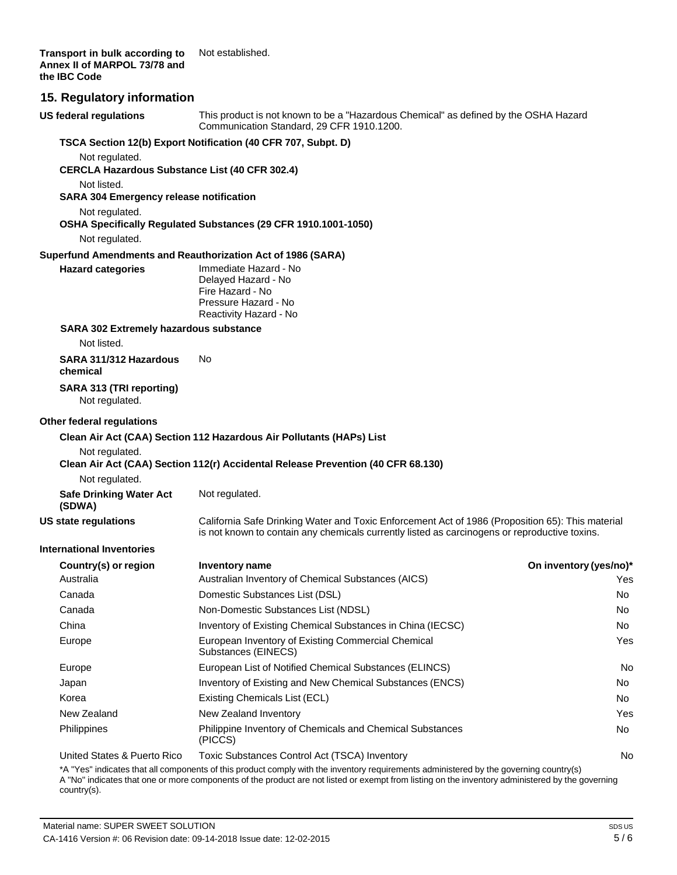**Transport in bulk according to Annex II of MARPOL 73/78 and the IBC Code** Not established.

#### **15. Regulatory information**

| <b>US federal regulations</b>                                 | This product is not known to be a "Hazardous Chemical" as defined by the OSHA Hazard<br>Communication Standard, 29 CFR 1910.1200.                                                                 |                        |
|---------------------------------------------------------------|---------------------------------------------------------------------------------------------------------------------------------------------------------------------------------------------------|------------------------|
|                                                               | TSCA Section 12(b) Export Notification (40 CFR 707, Subpt. D)                                                                                                                                     |                        |
| Not regulated.                                                |                                                                                                                                                                                                   |                        |
| <b>CERCLA Hazardous Substance List (40 CFR 302.4)</b>         |                                                                                                                                                                                                   |                        |
| Not listed.<br><b>SARA 304 Emergency release notification</b> |                                                                                                                                                                                                   |                        |
| Not regulated.                                                |                                                                                                                                                                                                   |                        |
|                                                               | OSHA Specifically Regulated Substances (29 CFR 1910.1001-1050)                                                                                                                                    |                        |
| Not regulated.                                                |                                                                                                                                                                                                   |                        |
|                                                               | Superfund Amendments and Reauthorization Act of 1986 (SARA)                                                                                                                                       |                        |
| <b>Hazard categories</b>                                      | Immediate Hazard - No<br>Delayed Hazard - No<br>Fire Hazard - No<br>Pressure Hazard - No<br>Reactivity Hazard - No                                                                                |                        |
| <b>SARA 302 Extremely hazardous substance</b><br>Not listed.  |                                                                                                                                                                                                   |                        |
| SARA 311/312 Hazardous<br>chemical                            | No                                                                                                                                                                                                |                        |
| SARA 313 (TRI reporting)<br>Not regulated.                    |                                                                                                                                                                                                   |                        |
| Other federal regulations                                     |                                                                                                                                                                                                   |                        |
|                                                               | Clean Air Act (CAA) Section 112 Hazardous Air Pollutants (HAPs) List                                                                                                                              |                        |
| Not regulated.                                                |                                                                                                                                                                                                   |                        |
|                                                               | Clean Air Act (CAA) Section 112(r) Accidental Release Prevention (40 CFR 68.130)                                                                                                                  |                        |
| Not regulated.                                                |                                                                                                                                                                                                   |                        |
| <b>Safe Drinking Water Act</b><br>(SDWA)                      | Not regulated.                                                                                                                                                                                    |                        |
| <b>US state regulations</b>                                   | California Safe Drinking Water and Toxic Enforcement Act of 1986 (Proposition 65): This material<br>is not known to contain any chemicals currently listed as carcinogens or reproductive toxins. |                        |
| <b>International Inventories</b>                              |                                                                                                                                                                                                   |                        |
| Country(s) or region                                          | Inventory name                                                                                                                                                                                    | On inventory (yes/no)* |
| Australia                                                     | Australian Inventory of Chemical Substances (AICS)                                                                                                                                                | Yes                    |
| Canada                                                        | Domestic Substances List (DSL)                                                                                                                                                                    | No.                    |
| Canada                                                        | Non-Domestic Substances List (NDSL)                                                                                                                                                               | No.                    |
| China                                                         | Inventory of Existing Chemical Substances in China (IECSC)                                                                                                                                        | No                     |
| Europe                                                        | European Inventory of Existing Commercial Chemical<br>Substances (EINECS)                                                                                                                         | Yes                    |
| Europe                                                        | European List of Notified Chemical Substances (ELINCS)                                                                                                                                            | No                     |
| Japan                                                         | Inventory of Existing and New Chemical Substances (ENCS)                                                                                                                                          | No.                    |
| Korea                                                         | Existing Chemicals List (ECL)                                                                                                                                                                     | No.                    |
| New Zealand                                                   | New Zealand Inventory                                                                                                                                                                             | Yes                    |
| Philippines                                                   | Philippine Inventory of Chemicals and Chemical Substances<br>(PICCS)                                                                                                                              | No.                    |
| United States & Puerto Rico                                   | Toxic Substances Control Act (TSCA) Inventory                                                                                                                                                     | No                     |

\*A "Yes" indicates that all components of this product comply with the inventory requirements administered by the governing country(s) A "No" indicates that one or more components of the product are not listed or exempt from listing on the inventory administered by the governing country(s).